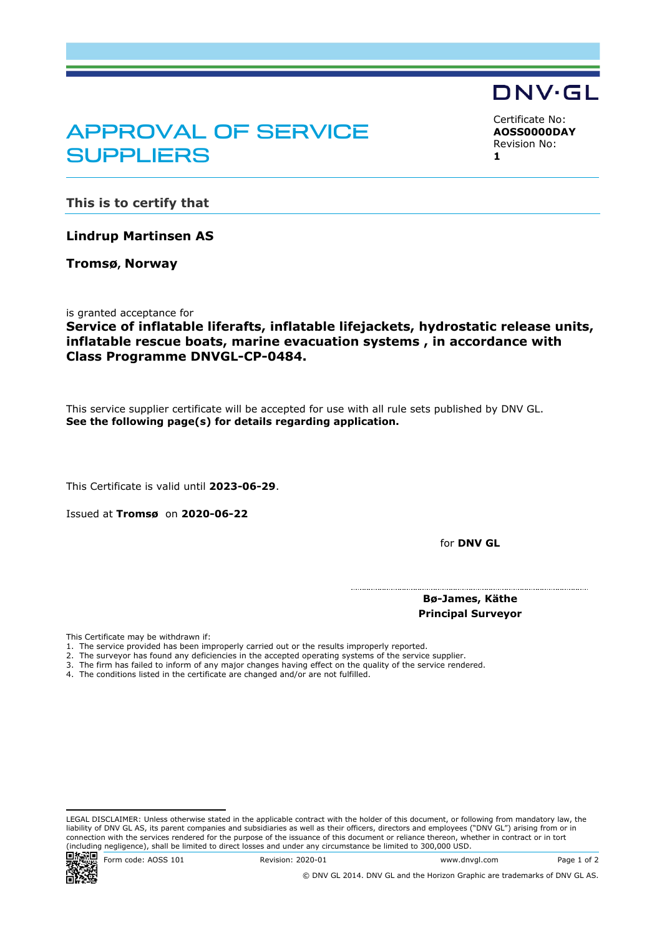## APPROVAL OF SERVICE **SUPPLIERS**

<span id="page-0-2"></span><span id="page-0-1"></span><span id="page-0-0"></span>Certificate No: **AOSS0000DAY** Revision No: **1**

DNV·GL

**This is to certify that**

**Lindrup Martinsen AS**

**Tromsø, Norway**

is granted acceptance for

## **Service of inflatable liferafts, inflatable lifejackets, hydrostatic release units, inflatable rescue boats, marine evacuation systems , in accordance with Class Programme DNVGL-CP-0484.**

This service supplier certificate will be accepted for use with all rule sets published by DNV GL. **See the following page(s) for details regarding application.**

This Certificate is valid until **2023-06-29**.

Issued at **Tromsø** on **2020-06-22** 

for **DNV GL**

**Bø-James, Käthe Principal Surveyor**

This Certificate may be withdrawn if:

- 1. The service provided has been improperly carried out or the results improperly reported.
- 2. The surveyor has found any deficiencies in the accepted operating systems of the service supplier.
- 3. The firm has failed to inform of any major changes having effect on the quality of the service rendered.
- 4. The conditions listed in the certificate are changed and/or are not fulfilled.

Form code: AOSS 101 Revision: 2020-01 www.dnvgl.com Page 1 of 2

LEGAL DISCLAIMER: Unless otherwise stated in the applicable contract with the holder of this document, or following from mandatory law, the liability of DNV GL AS, its parent companies and subsidiaries as well as their officers, directors and employees ("DNV GL") arising from or in connection with the services rendered for the purpose of the issuance of this document or reliance thereon, whether in contract or in tort (including negligence), shall be limited to direct losses and under any circumstance be limited to 300,000 USD.<br> **Entry Code:** AOSS 101 Revision: 2020-01